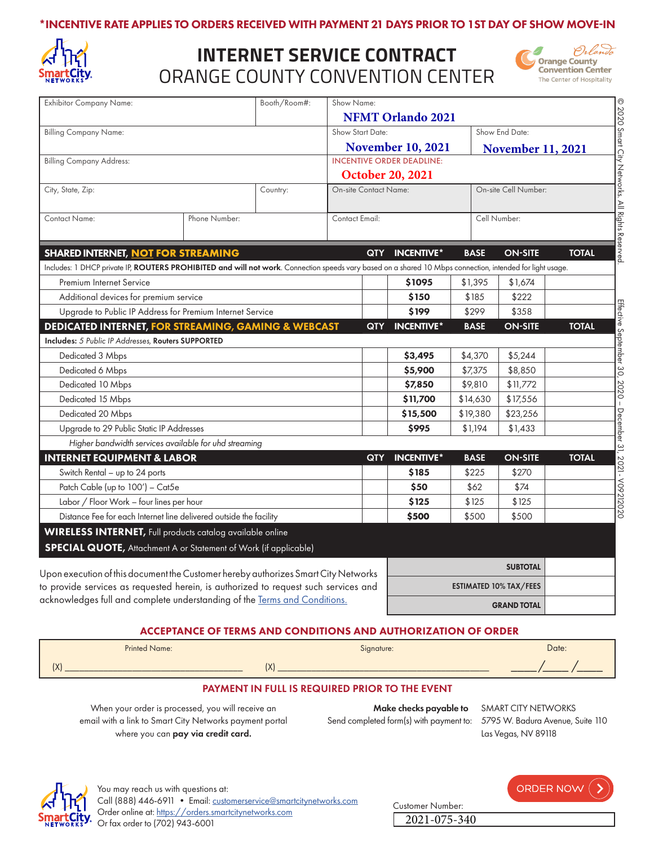#### \*INCENTIVE RATE APPLIES TO ORDERS RECEIVED WITH PAYMENT 21 DAYS PRIOR TO 1ST DAY OF SHOW MOVE-IN



# ORANGE COUNTY CONVENTION CENTER **INTERNET SERVICE CONTRACT**



| <b>Exhibitor Company Name:</b>                                                                                                                            | Booth/Room#: | Show Name:                       |                   |                               |                      |              |
|-----------------------------------------------------------------------------------------------------------------------------------------------------------|--------------|----------------------------------|-------------------|-------------------------------|----------------------|--------------|
|                                                                                                                                                           |              | <b>NFMT Orlando 2021</b>         |                   |                               |                      |              |
| <b>Billing Company Name:</b>                                                                                                                              |              | Show Start Date:                 |                   |                               | Show End Date:       |              |
|                                                                                                                                                           |              | <b>November 10, 2021</b>         |                   | <b>November 11, 2021</b>      |                      |              |
| <b>Billing Company Address:</b>                                                                                                                           |              | <b>INCENTIVE ORDER DEADLINE:</b> |                   |                               |                      |              |
|                                                                                                                                                           |              | <b>October 20, 2021</b>          |                   |                               |                      |              |
| City, State, Zip:                                                                                                                                         | Country:     | <b>On-site Contact Name:</b>     |                   |                               | On-site Cell Number: |              |
| <b>Contact Name:</b><br>Phone Number:                                                                                                                     |              | Contact Email:                   |                   | Cell Number:                  |                      |              |
| <b>SHARED INTERNET, NOT FOR STREAMING</b>                                                                                                                 |              | <b>QTY</b>                       | <b>INCENTIVE*</b> | <b>BASE</b>                   | <b>ON-SITE</b>       | <b>TOTAL</b> |
| Includes: 1 DHCP private IP, ROUTERS PROHIBITED and will not work. Connection speeds vary based on a shared 10 Mbps connection, intended for light usage. |              |                                  |                   |                               |                      |              |
| Premium Internet Service                                                                                                                                  |              |                                  | \$1095            | \$1,395                       | \$1,674              |              |
| Additional devices for premium service                                                                                                                    |              | \$150                            | \$185             | \$222                         |                      |              |
| Upgrade to Public IP Address for Premium Internet Service                                                                                                 |              | \$199                            | \$299             | \$358                         |                      |              |
| <b>DEDICATED INTERNET, FOR STREAMING, GAMING &amp; WEBCAST</b><br>Includes: 5 Public IP Addresses, Routers SUPPORTED                                      |              | <b>QTY</b>                       | <b>INCENTIVE*</b> | <b>BASE</b>                   | <b>ON-SITE</b>       | <b>TOTAL</b> |
| Dedicated 3 Mbps                                                                                                                                          |              |                                  | \$3,495           | \$4,370                       | \$5,244              |              |
| Dedicated 6 Mbps                                                                                                                                          |              |                                  | \$5,900           | \$7,375                       | \$8,850              |              |
| Dedicated 10 Mbps                                                                                                                                         |              |                                  | \$7,850           | \$9,810                       | \$11,772             |              |
| Dedicated 15 Mbps                                                                                                                                         |              |                                  | \$11,700          | \$14,630                      | \$17,556             |              |
| Dedicated 20 Mbps                                                                                                                                         |              |                                  | \$15,500          | \$19,380                      | \$23,256             |              |
| Upgrade to 29 Public Static IP Addresses                                                                                                                  |              | \$995                            | \$1,194           | \$1,433                       |                      |              |
| Higher bandwidth services available for uhd streaming                                                                                                     |              |                                  |                   |                               |                      |              |
| <b>INTERNET EQUIPMENT &amp; LABOR</b>                                                                                                                     |              | <b>QTY</b>                       | <b>INCENTIVE*</b> | <b>BASE</b>                   | <b>ON-SITE</b>       | <b>TOTAL</b> |
| Switch Rental - up to 24 ports                                                                                                                            |              |                                  | \$185             | \$225                         | \$270                |              |
| Patch Cable (up to 100') - Cat5e                                                                                                                          |              |                                  | \$50              | \$62                          | \$74                 |              |
| Labor / Floor Work - four lines per hour                                                                                                                  |              | \$125                            | \$125             | \$125                         |                      |              |
| Distance Fee for each Internet line delivered outside the facility                                                                                        |              | \$500                            | \$500             | \$500                         |                      |              |
| <b>WIRELESS INTERNET</b> , Full products catalog available online                                                                                         |              |                                  |                   |                               |                      |              |
| <b>SPECIAL QUOTE, Attachment A or Statement of Work (if applicable)</b>                                                                                   |              |                                  |                   |                               |                      |              |
| Upon execution of this document the Customer hereby authorizes Smart City Networks                                                                        |              |                                  | <b>SUBTOTAL</b>   |                               |                      |              |
| to provide services as requested herein, is authorized to request such services and                                                                       |              |                                  |                   | <b>ESTIMATED 10% TAX/FEES</b> |                      |              |

#### ACCEPTANCE OF TERMS AND CONDITIONS AND AUTHORIZATION OF ORDER



#### PAYMENT IN FULL IS REQUIRED PRIOR TO THE EVENT

When your order is processed, you will receive an email with a link to Smart City Networks payment portal where you can pay via credit card.

acknowledges full and complete understanding of the [Terms and Conditions.](https://cdn-public.smartcitynetworks.com/tcforms/075/TNC.pdf?ver=1597339781)

Make checks payable to SMART CITY NETWORKS Send completed form(s) with payment to: 5795 W. Badura Avenue, Suite 110

Las Vegas, NV 89118

ORDER NOW

GRAND TOTAL



| Customer Number: |  |
|------------------|--|
| 2021-075-340     |  |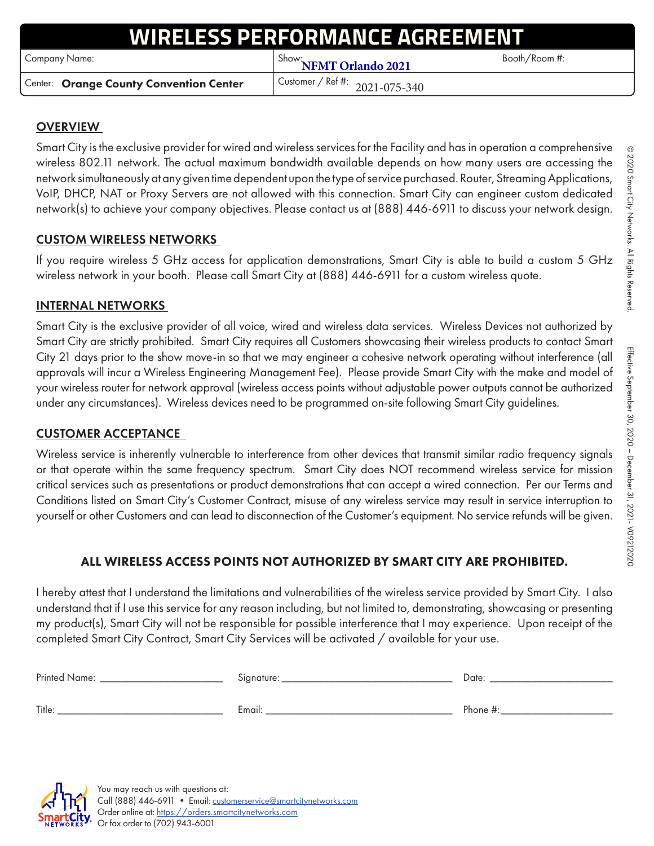# **ESS PERFORMANCE AGREEM**

Example 19 Name: Show: Show: Show: **NFMT Orlando 2021** Booth/Room #:

Center: Orange County Convention Center | Customer / Ref #:

2021-075-340

## **OVERVIEW**

Smart City is the exclusive provider for wired and wireless services for the Facility and has in operation a comprehensive wireless 802.11 network. The actual maximum bandwidth available depends on how many users are accessing the network simultaneously at any given time dependent upon the type of service purchased. Router, Streaming Applications, VoIP, DHCP, NAT or Proxy Servers are not allowed with this connection. Smart City can engineer custom dedicated network(s) to achieve your company objectives. Please contact us at (888) 446-6911 to discuss your network design.

### CUSTOM WIRELESS NETWORKS

If you require wireless 5 GHz access for application demonstrations, Smart City is able to build a custom 5 GHz wireless network in your booth. Please call Smart City at (888) 446-6911 for a custom wireless quote.

#### INTERNAL NETWORKS

Smart City is the exclusive provider of all voice, wired and wireless data services. Wireless Devices not authorized by Smart City are strictly prohibited. Smart City requires all Customers showcasing their wireless products to contact Smart City 21 days prior to the show move-in so that we may engineer a cohesive network operating without interference (all approvals will incur a Wireless Engineering Management Fee). Please provide Smart City with the make and model of your wireless router for network approval (wireless access points without adjustable power outputs cannot be authorized under any circumstances). Wireless devices need to be programmed on-site following Smart City guidelines.

### CUSTOMER ACCEPTANCE

Wireless service is inherently vulnerable to interference from other devices that transmit similar radio frequency signals or that operate within the same frequency spectrum. Smart City does NOT recommend wireless service for mission critical services such as presentations or product demonstrations that can accept a wired connection. Per our Terms and Conditions listed on Smart City's Customer Contract, misuse of any wireless service may result in service interruption to yourself or other Customers and can lead to disconnection of the Customer's equipment. No service refunds will be given.

### ALL WIRELESS ACCESS POINTS NOT AUTHORIZED BY SMART CITY ARE PROHIBITED.

I hereby attest that I understand the limitations and vulnerabilities of the wireless service provided by Smart City. I also understand that if I use this service for any reason including, but not limited to, demonstrating, showcasing or presenting my product(s), Smart City will not be responsible for possible interference that I may experience. Upon receipt of the completed Smart City Contract, Smart City Services will be activated / available for your use.

| Printed Name: | Signature: | Date:       |
|---------------|------------|-------------|
| Title:        | Email:     | Phone $#$ : |